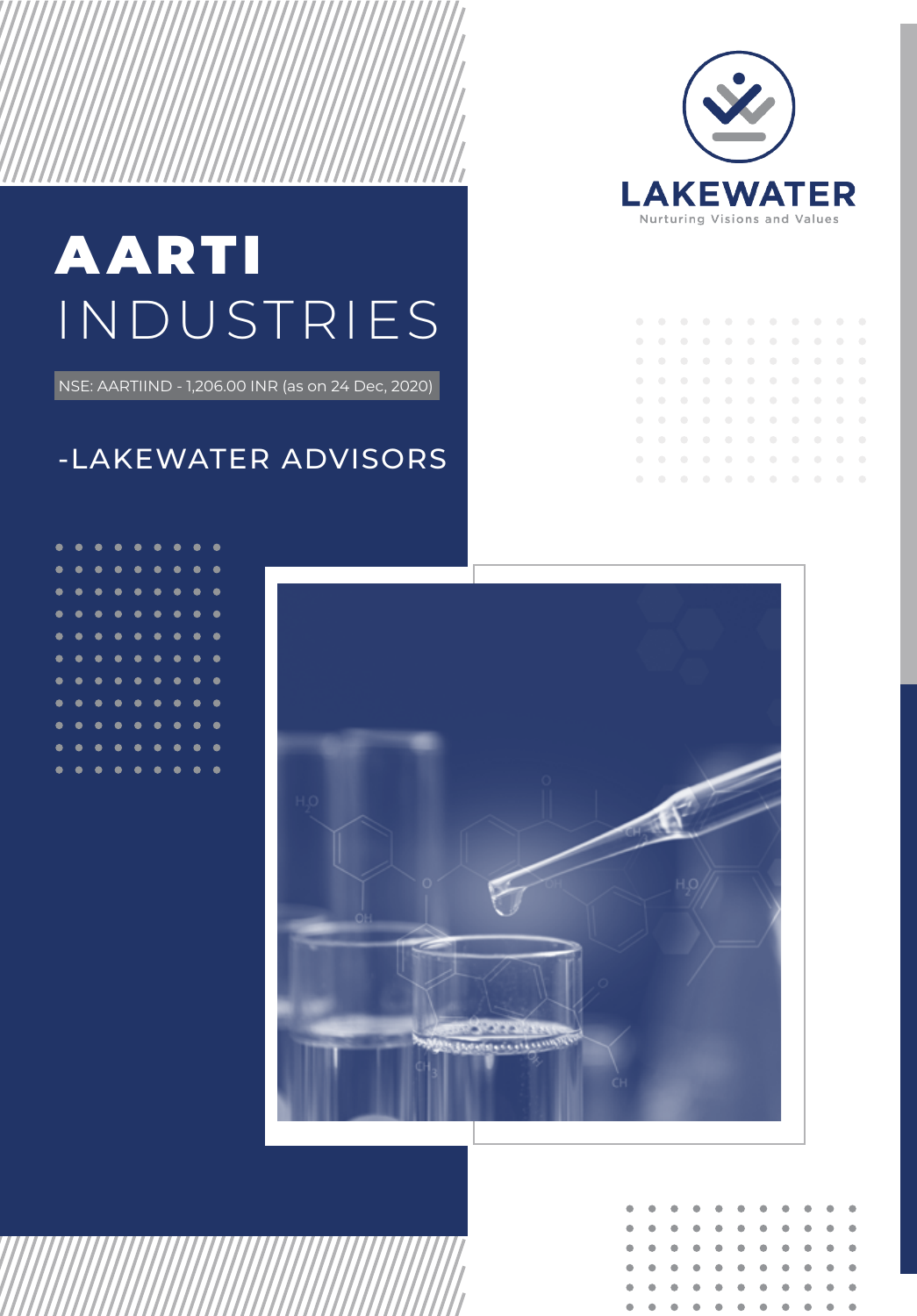

# AARTI INDUSTRIES

NSE: AARTIIND - 1,206.00 INR (as on 24 Dec, 2020)

## -LAKEWATER ADVISORS

| $\bullet$ | $\bullet$ | $\overline{\phantom{a}}$ |  |  | . |  |  |
|-----------|-----------|--------------------------|--|--|---|--|--|
| $\bullet$ | $\bullet$ | $\overline{\phantom{a}}$ |  |  | . |  |  |
| $\bullet$ | $\bullet$ |                          |  |  | . |  |  |
| $\bullet$ | $\bullet$ | $\overline{\phantom{a}}$ |  |  | . |  |  |
| $\bullet$ | $\bullet$ |                          |  |  | . |  |  |
| $\bullet$ | $\bullet$ | $\overline{\phantom{a}}$ |  |  | . |  |  |
| $\bullet$ | $\bullet$ | $\overline{\phantom{a}}$ |  |  | . |  |  |
| $\bullet$ | $\bullet$ |                          |  |  | . |  |  |
| $\bullet$ | $\bullet$ | $\overline{\phantom{a}}$ |  |  | . |  |  |
|           |           |                          |  |  |   |  |  |





|  |  |  |  | . |  |
|--|--|--|--|---|--|
|  |  |  |  | . |  |
|  |  |  |  | . |  |
|  |  |  |  | . |  |
|  |  |  |  | . |  |
|  |  |  |  | . |  |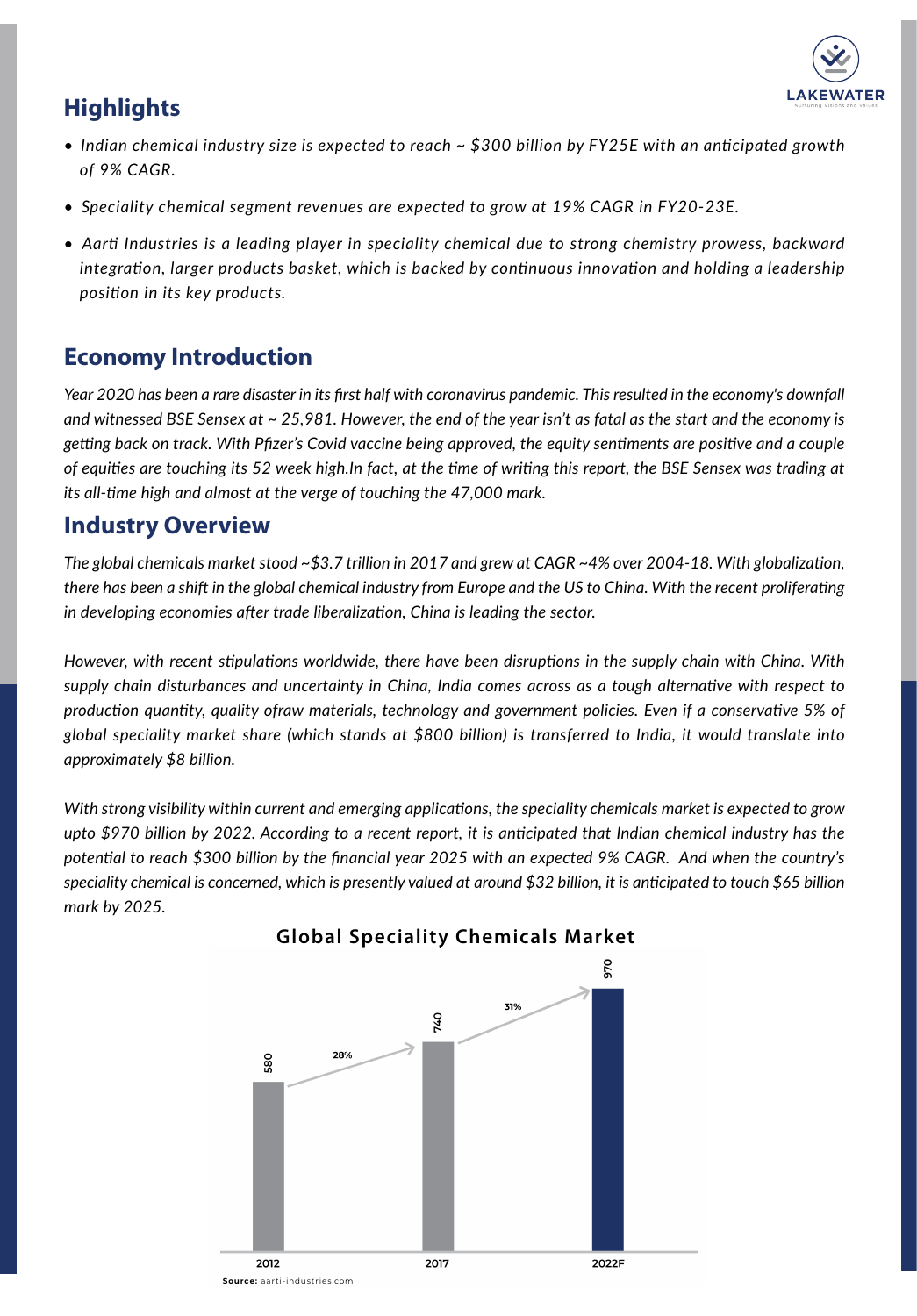

## **Highlights**

- *Indian chemical industry size is expected to reach ~ \$300 billion by FY25E with an anticipated growth ....of 9% CAGR.*
- *Speciality chemical segment revenues are expected to grow at 19% CAGR in FY20-23E.*
- *Aarti Industries is a leading player in speciality chemical due to strong chemistry prowess, backward ....integration, larger products basket, which is backed by continuous innovation and holding a leadership ....position in its key products.*

## **Economy Introduction**

*Year 2020 has been a rare disaster in its first half with coronavirus pandemic. This resulted in the economy's downfall and witnessed BSE Sensex at ~ 25,981. However, the end of the year isn't as fatal as the start and the economy is getting back on track. With Pfizer's Covid vaccine being approved, the equity sentiments are positive and a couple of equities are touching its 52 week high.In fact, at the time of writing this report, the BSE Sensex was trading at its all-time high and almost at the verge of touching the 47,000 mark.* 

## **Industry Overview**

*The global chemicals market stood ~\$3.7 trillion in 2017 and grew at CAGR ~4% over 2004-18. With globalization, there has been a shift in the global chemical industry from Europe and the US to China. With the recent proliferating in developing economies after trade liberalization, China is leading the sector.*

*However, with recent stipulations worldwide, there have been disruptions in the supply chain with China. With supply chain disturbances and uncertainty in China, India comes across as a tough alternative with respect to production quantity, quality ofraw materials, technology and government policies. Even if a conservative 5% of global speciality market share (which stands at \$800 billion) is transferred to India, it would translate into approximately \$8 billion.*

*With strong visibility within current and emerging applications, the speciality chemicals market is expected to grow upto \$970 billion by 2022. According to a recent report, it is anticipated that Indian chemical industry has the potential to reach \$300 billion by the financial year 2025 with an expected 9% CAGR. And when the country's speciality chemical is concerned, which is presently valued at around \$32 billion, it is anticipated to touch \$65 billion mark by 2025.*



## **Global Speciality Chemicals Market**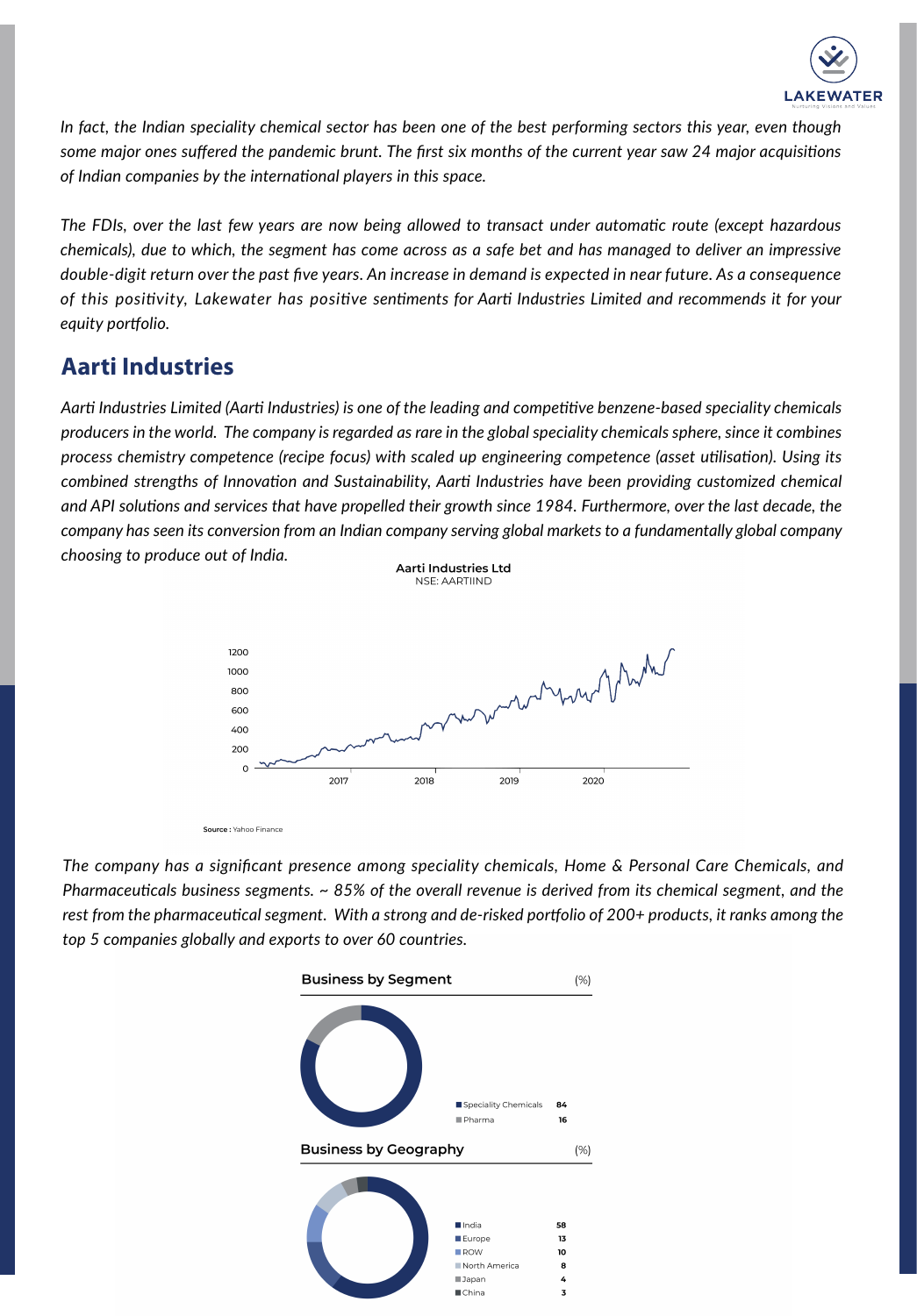

*In fact, the Indian speciality chemical sector has been one of the best performing sectors this year, even though some major ones suffered the pandemic brunt. The first six months of the current year saw 24 major acquisitions of Indian companies by the international players in this space.*

*The FDIs, over the last few years are now being allowed to transact under automatic route (except hazardous chemicals), due to which, the segment has come across as a safe bet and has managed to deliver an impressive double-digit return over the past five years. An increase in demand is expected in near future. As a consequence of this positivity, Lakewater has positive sentiments for Aarti Industries Limited and recommends it for your equity portfolio.*

## **Aarti Industries**

*Aarti Industries Limited (Aarti Industries) is one of the leading and competitive benzene-based speciality chemicals producers in the world. The company is regarded as rare in the global speciality chemicals sphere, since it combines process chemistry competence (recipe focus) with scaled up engineering competence (asset utilisation). Using its combined strengths of Innovation and Sustainability, Aarti Industries have been providing customized chemical and API solutions and services that have propelled their growth since 1984. Furthermore, over the last decade, the company has seen its conversion from an Indian company serving global markets to a fundamentally global company choosing to produce out of India.*  Aarti Industries Ltd

NSE: AARTIIND



*The company has a significant presence among speciality chemicals, Home & Personal Care Chemicals, and Pharmaceuticals business segments. ~ 85% of the overall revenue is derived from its chemical segment, and the rest from the pharmaceutical segment. With a strong and de-risked portfolio of 200+ products, it ranks among the top 5 companies globally and exports to over 60 countries.* 

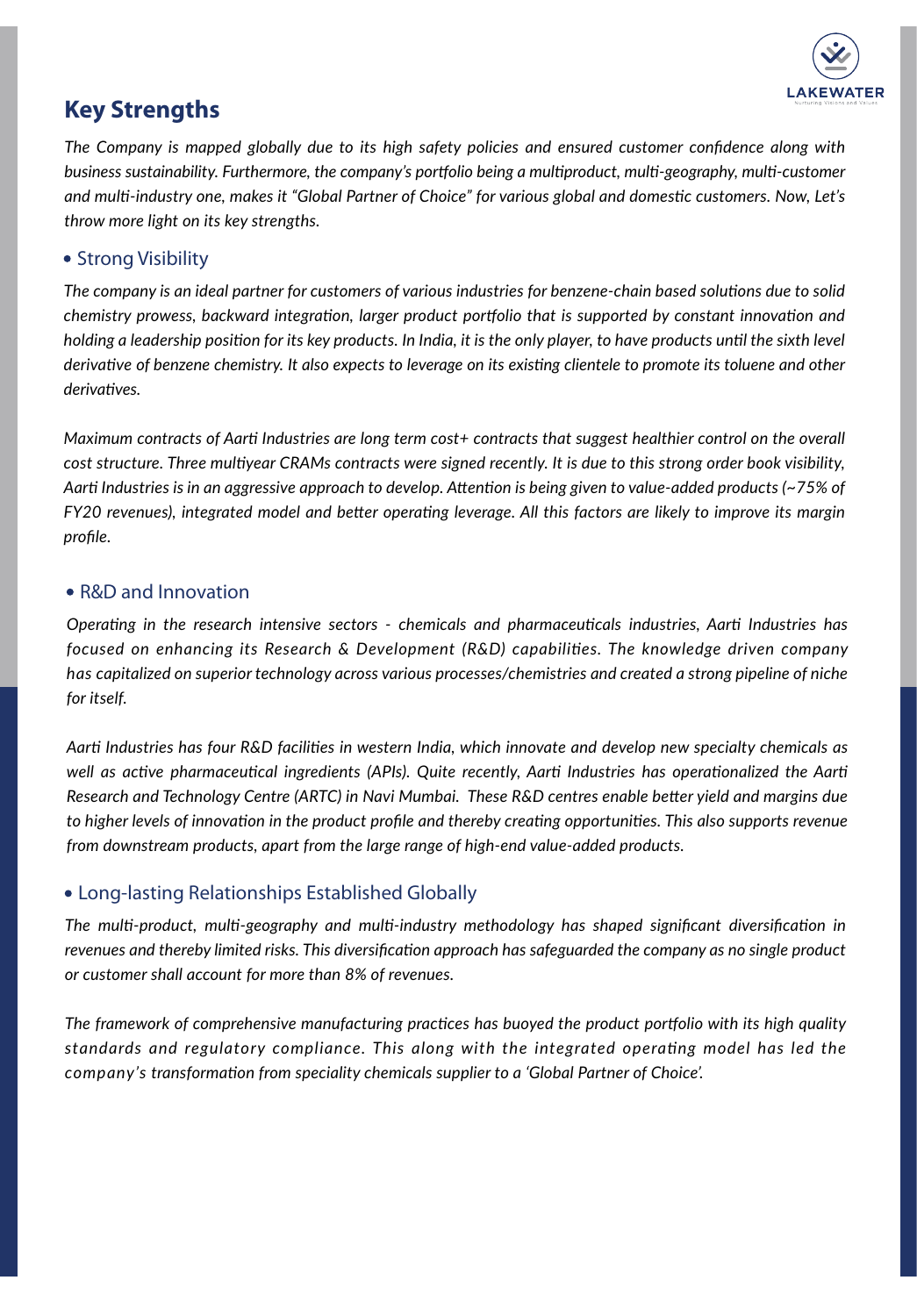

## **Key Strengths**

*The Company is mapped globally due to its high safety policies and ensured customer confidence along with business sustainability. Furthermore, the company's portfolio being a multiproduct, multi-geography, multi-customer and multi-industry one, makes it "Global Partner of Choice" for various global and domestic customers. Now, Let's throw more light on its key strengths.*

#### • Strong Visibility

*The company is an ideal partner for customers of various industries for benzene-chain based solutions due to solid chemistry prowess, backward integration, larger product portfolio that is supported by constant innovation and holding a leadership position for its key products. In India, it is the only player, to have products until the sixth level derivative of benzene chemistry. It also expects to leverage on its existing clientele to promote its toluene and other derivatives.* 

*Maximum contracts of Aarti Industries are long term cost+ contracts that suggest healthier control on the overall cost structure. Three multiyear CRAMs contracts were signed recently. It is due to this strong order book visibility, Aarti Industries is in an aggressive approach to develop. Attention is being given to value-added products (~75% of FY20 revenues), integrated model and better operating leverage. All this factors are likely to improve its margin profile.* 

#### • R&D and Innovation

*Operating in the research intensive sectors - chemicals and pharmaceuticals industries, Aarti Industries has focused on enhancing its Research & Development (R&D) capabilities. The knowledge driven company has capitalized on superior technology across various processes/chemistries and created a strong pipeline of niche for itself.*

*Aarti Industries has four R&D facilities in western India, which innovate and develop new specialty chemicals as well as active pharmaceutical ingredients (APIs). Quite recently, Aarti Industries has operationalized the Aarti Research and Technology Centre (ARTC) in Navi Mumbai. These R&D centres enable better yield and margins due to higher levels of innovation in the product profile and thereby creating opportunities. This also supports revenue from downstream products, apart from the large range of high-end value-added products.*

#### Long-lasting Relationships Established Globally

*The multi-product, multi-geography and multi-industry methodology has shaped significant diversification in revenues and thereby limited risks. This diversification approach has safeguarded the company as no single product or customer shall account for more than 8% of revenues.* 

*The framework of comprehensive manufacturing practices has buoyed the product portfolio with its high quality standards and regulatory compliance. This along with the integrated operating model has led the company's transformation from speciality chemicals supplier to a 'Global Partner of Choice'.*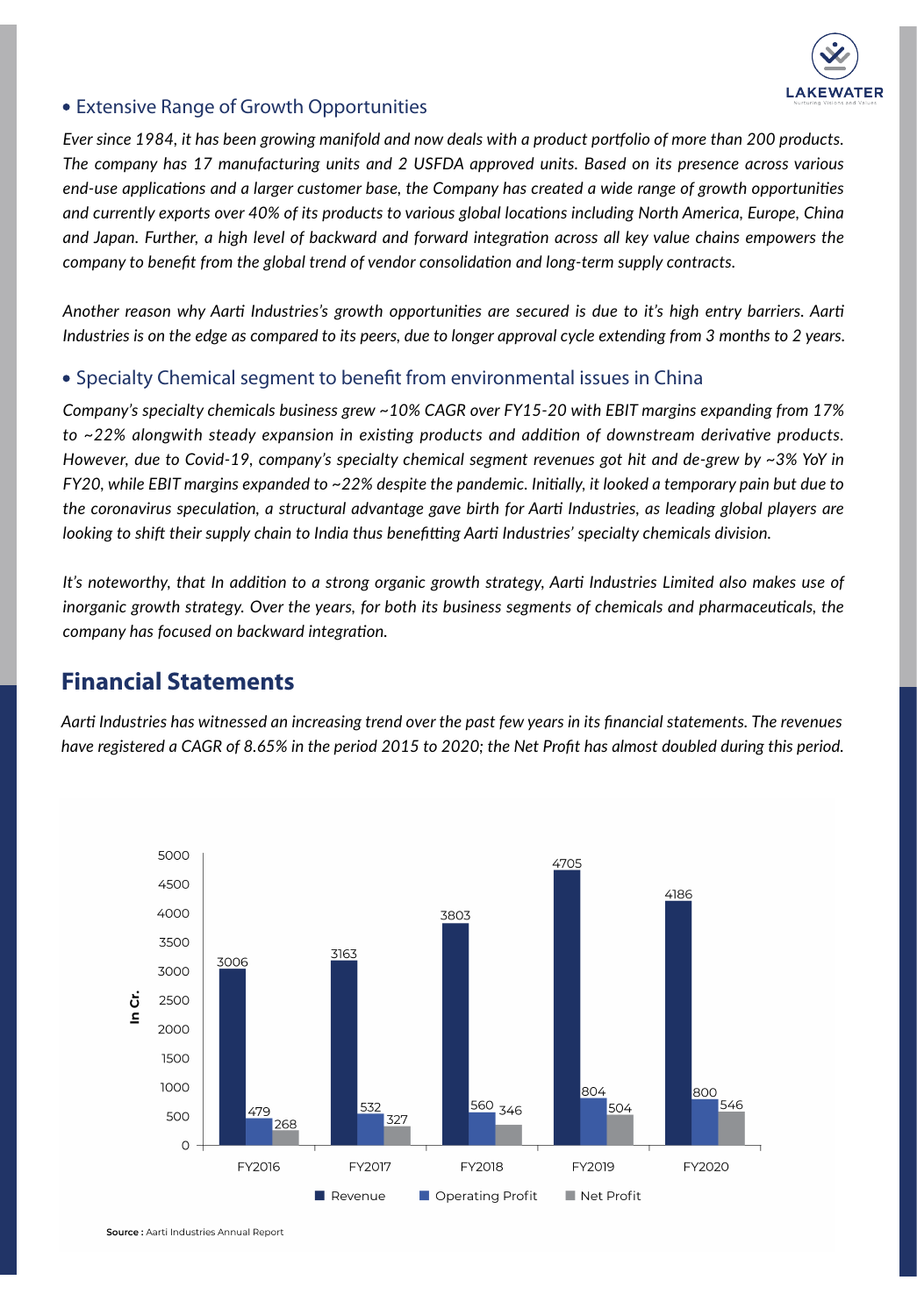

#### Extensive Range of Growth Opportunities

*Ever since 1984, it has been growing manifold and now deals with a product portfolio of more than 200 products. The company has 17 manufacturing units and 2 USFDA approved units. Based on its presence across various end-use applications and a larger customer base, the Company has created a wide range of growth opportunities and currently exports over 40% of its products to various global locations including North America, Europe, China and Japan. Further, a high level of backward and forward integration across all key value chains empowers the company to benefit from the global trend of vendor consolidation and long-term supply contracts.*

*Another reason why Aarti Industries's growth opportunities are secured is due to it's high entry barriers. Aarti Industries is on the edge as compared to its peers, due to longer approval cycle extending from 3 months to 2 years.*

#### • Specialty Chemical segment to benefit from environmental issues in China

*Company's specialty chemicals business grew ~10% CAGR over FY15-20 with EBIT margins expanding from 17% to ~22% alongwith steady expansion in existing products and addition of downstream derivative products. However, due to Covid-19, company's specialty chemical segment revenues got hit and de-grew by ~3% YoY in FY20, while EBIT margins expanded to ~22% despite the pandemic. Initially, it looked a temporary pain but due to the coronavirus speculation, a structural advantage gave birth for Aarti Industries, as leading global players are looking to shift their supply chain to India thus benefitting Aarti Industries' specialty chemicals division.*

*It's noteworthy, that In addition to a strong organic growth strategy, Aarti Industries Limited also makes use of inorganic growth strategy. Over the years, for both its business segments of chemicals and pharmaceuticals, the company has focused on backward integration.*

## **Financial Statements**

*Aarti Industries has witnessed an increasing trend over the past few years in its financial statements. The revenues have registered a CAGR of 8.65% in the period 2015 to 2020; the Net Profit has almost doubled during this period.*



Source: Aarti Industries Annual Report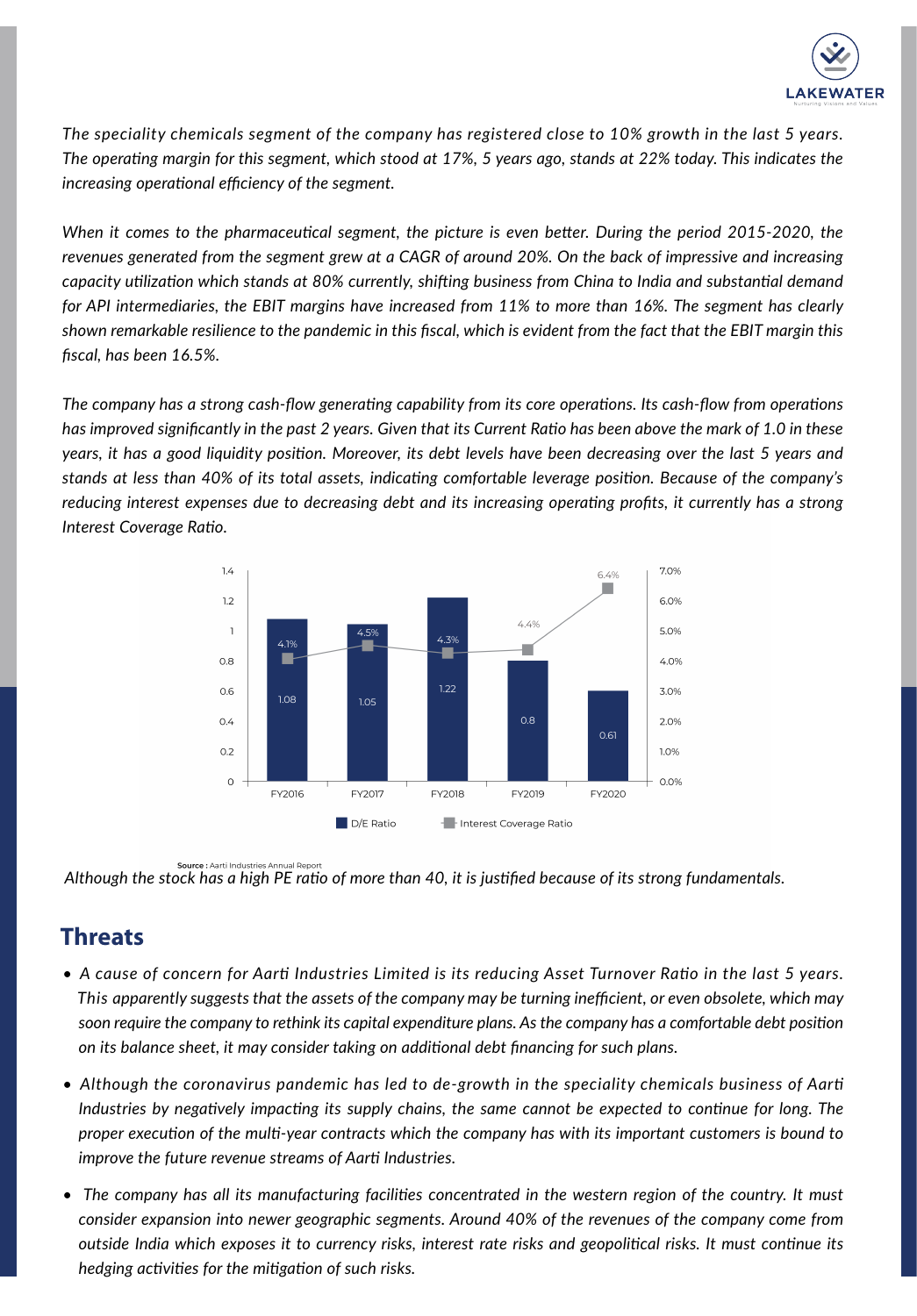

*The speciality chemicals segment of the company has registered close to 10% growth in the last 5 years. The operating margin for this segment, which stood at 17%, 5 years ago, stands at 22% today. This indicates the increasing operational efficiency of the segment.*

*When it comes to the pharmaceutical segment, the picture is even better. During the period 2015-2020, the revenues generated from the segment grew at a CAGR of around 20%. On the back of impressive and increasing capacity utilization which stands at 80% currently, shifting business from China to India and substantial demand for API intermediaries, the EBIT margins have increased from 11% to more than 16%. The segment has clearly shown remarkable resilience to the pandemic in this fiscal, which is evident from the fact that the EBIT margin this fiscal, has been 16.5%.*

*The company has a strong cash-flow generating capability from its core operations. Its cash-flow from operations has improved significantly in the past 2 years. Given that its Current Ratio has been above the mark of 1.0 in these years, it has a good liquidity position. Moreover, its debt levels have been decreasing over the last 5 years and stands at less than 40% of its total assets, indicating comfortable leverage position. Because of the company's reducing interest expenses due to decreasing debt and its increasing operating profits, it currently has a strong Interest Coverage Ratio.*



Source : Aarti Industries Annual Report *Although the stock has a high PE ratio of more than 40, it is justified because of its strong fundamentals.* 

## **Threats**

- *A cause of concern for Aarti Industries Limited is its reducing Asset Turnover Ratio in the last 5 years. ....This apparently suggests that the assets of the company may be turning inefficient, or even obsolete, which may ....soon require the company to rethink its capital expenditure plans. As the company has a comfortable debt position ....on its balance sheet, it may consider taking on additional debt financing for such plans.*
- *Although the coronavirus pandemic has led to de-growth in the speciality chemicals business of Aarti ....Industries by negatively impacting its supply chains, the same cannot be expected to continue for long. The ....proper execution of the multi-year contracts which the company has with its important customers is bound to ....improve the future revenue streams of Aarti Industries.*
- The company has all its manufacturing facilities concentrated in the western region of the country. It must *....consider expansion into newer geographic segments. Around 40% of the revenues of the company come from ....outside India which exposes it to currency risks, interest rate risks and geopolitical risks. It must continue its ....hedging activities for the mitigation of such risks.*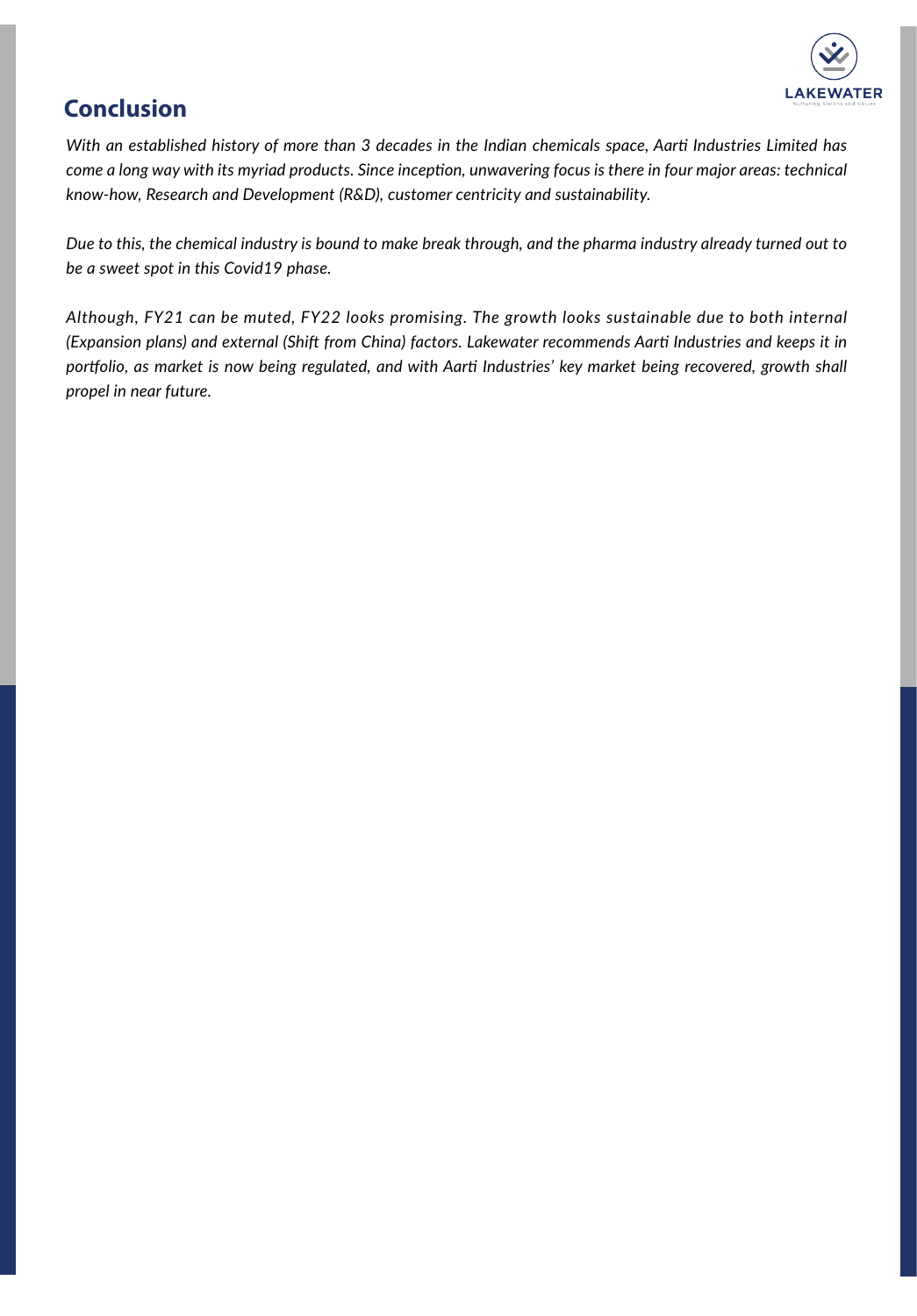

## **Conclusion**

*With an established history of more than 3 decades in the Indian chemicals space, Aarti Industries Limited has come a long way with its myriad products. Since inception, unwavering focus is there in four major areas: technical know-how, Research and Development (R&D), customer centricity and sustainability.*

*Due to this, the chemical industry is bound to make break through, and the pharma industry already turned out to be a sweet spot in this Covid19 phase.*

*Although, FY21 can be muted, FY22 looks promising. The growth looks sustainable due to both internal (Expansion plans) and external (Shift from China) factors. Lakewater recommends Aarti Industries and keeps it in portfolio, as market is now being regulated, and with Aarti Industries' key market being recovered, growth shall propel in near future.*